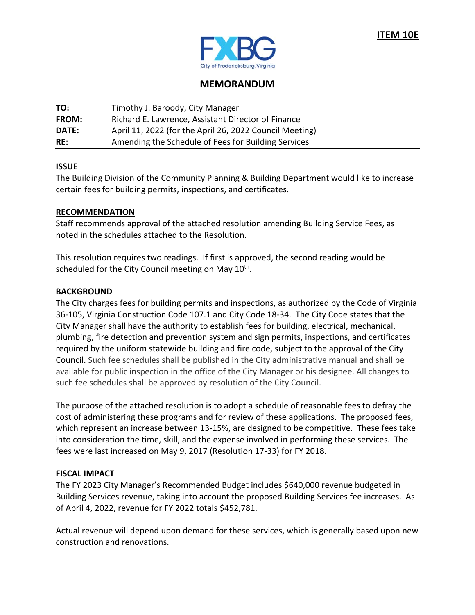

### **MEMORANDUM**

| TO:          | Timothy J. Baroody, City Manager                        |
|--------------|---------------------------------------------------------|
| <b>FROM:</b> | Richard E. Lawrence, Assistant Director of Finance      |
| DATE:        | April 11, 2022 (for the April 26, 2022 Council Meeting) |
| RE:          | Amending the Schedule of Fees for Building Services     |

### **ISSUE**

The Building Division of the Community Planning & Building Department would like to increase certain fees for building permits, inspections, and certificates.

### **RECOMMENDATION**

Staff recommends approval of the attached resolution amending Building Service Fees, as noted in the schedules attached to the Resolution.

This resolution requires two readings. If first is approved, the second reading would be scheduled for the City Council meeting on May 10<sup>th</sup>.

### **BACKGROUND**

The City charges fees for building permits and inspections, as authorized by the Code of Virginia 36‐105, Virginia Construction Code 107.1 and City Code 18‐34. The City Code states that the City Manager shall have the authority to establish fees for building, electrical, mechanical, plumbing, fire detection and prevention system and sign permits, inspections, and certificates required by the uniform statewide building and fire code, subject to the approval of the City Council. Such fee schedules shall be published in the City administrative manual and shall be available for public inspection in the office of the City Manager or his designee. All changes to such fee schedules shall be approved by resolution of the City Council.

The purpose of the attached resolution is to adopt a schedule of reasonable fees to defray the cost of administering these programs and for review of these applications. The proposed fees, which represent an increase between 13‐15%, are designed to be competitive. These fees take into consideration the time, skill, and the expense involved in performing these services. The fees were last increased on May 9, 2017 (Resolution 17‐33) for FY 2018.

### **FISCAL IMPACT**

The FY 2023 City Manager's Recommended Budget includes \$640,000 revenue budgeted in Building Services revenue, taking into account the proposed Building Services fee increases. As of April 4, 2022, revenue for FY 2022 totals \$452,781.

Actual revenue will depend upon demand for these services, which is generally based upon new construction and renovations.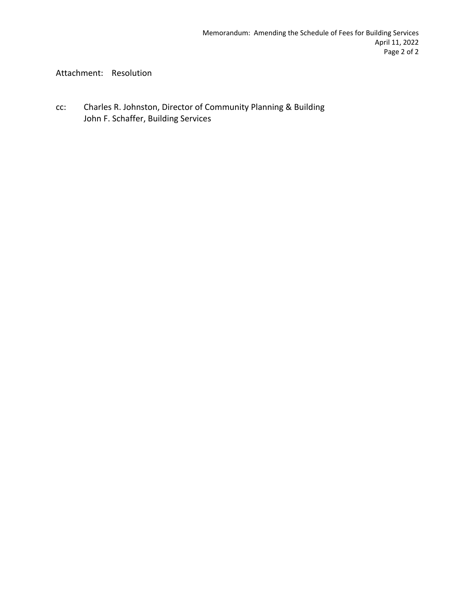Attachment: Resolution

cc: Charles R. Johnston, Director of Community Planning & Building John F. Schaffer, Building Services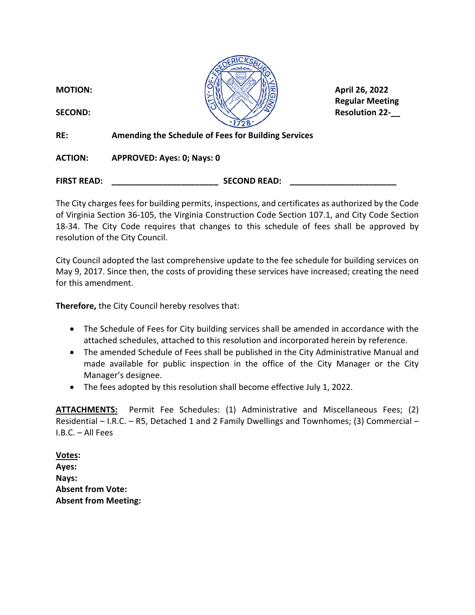| <b>MOTION:</b><br><b>SECOND:</b> |                                                     | April 26, 2022<br><b>Regular Meeting</b><br><b>Resolution 22-</b> |
|----------------------------------|-----------------------------------------------------|-------------------------------------------------------------------|
| RE:                              | Amending the Schedule of Fees for Building Services |                                                                   |
| <b>ACTION:</b>                   | APPROVED: Ayes: 0; Nays: 0                          |                                                                   |
| <b>FIRST READ:</b>               | <b>SECOND READ:</b>                                 |                                                                   |

The City charges fees for building permits, inspections, and certificates as authorized by the Code of Virginia Section 36‐105, the Virginia Construction Code Section 107.1, and City Code Section 18-34. The City Code requires that changes to this schedule of fees shall be approved by resolution of the City Council.

City Council adopted the last comprehensive update to the fee schedule for building services on May 9, 2017. Since then, the costs of providing these services have increased; creating the need for this amendment.

**Therefore,** the City Council hereby resolves that:

- The Schedule of Fees for City building services shall be amended in accordance with the attached schedules, attached to this resolution and incorporated herein by reference.
- The amended Schedule of Fees shall be published in the City Administrative Manual and made available for public inspection in the office of the City Manager or the City Manager's designee.
- The fees adopted by this resolution shall become effective July 1, 2022.

ATTACHMENTS: Permit Fee Schedules: (1) Administrative and Miscellaneous Fees; (2) Residential – I.R.C. – R5, Detached 1 and 2 Family Dwellings and Townhomes; (3) Commercial – I.B.C. – All Fees

**Votes:**  Ayes: **Nays: Absent from Vote: Absent from Meeting:**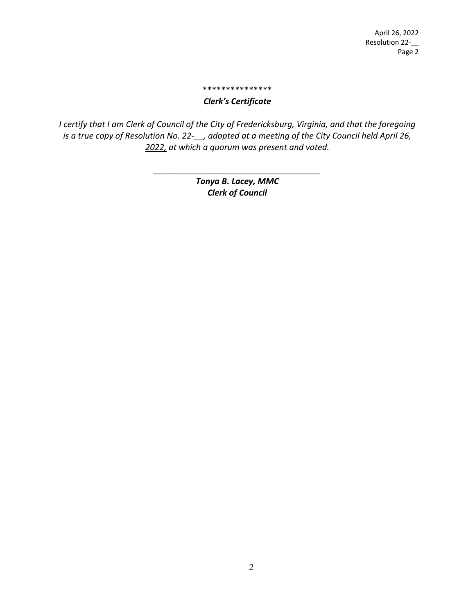# \*\*\*\*\*\*\*\*\*\*\*\*\*\*\*

*Clerk's Certificate* 

*I certify that I am Clerk of Council of the City of Fredericksburg, Virginia, and that the foregoing is a true copy of Resolution No. 22‐\_\_, adopted at a meeting of the City Council held April 26, 2022, at which a quorum was present and voted.* 

> *Tonya B. Lacey, MMC Clerk of Council*

*\_\_\_\_\_\_\_\_\_\_\_\_\_\_\_\_\_\_\_\_\_\_\_\_\_\_\_\_\_\_\_\_\_\_\_\_*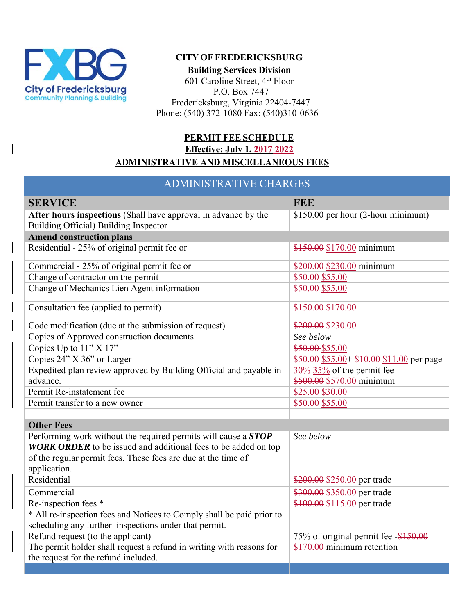

# **CITY OF FREDERICKSBURG**

**Building Services Division**

601 Caroline Street, 4th Floor P.O. Box 7447 Fredericksburg, Virginia 22404-7447 Phone: (540) 372-1080 Fax: (540)310-0636

## **PERMIT FEE SCHEDULE**

**Effective: July 1, 2017 2022**

## **ADMINISTRATIVE AND MISCELLANEOUS FEES**

## ADMINISTRATIVE CHARGES

| <b>SERVICE</b>                                                                                          | <b>FEE</b>                                |
|---------------------------------------------------------------------------------------------------------|-------------------------------------------|
| After hours inspections (Shall have approval in advance by the<br>Building Official) Building Inspector | \$150.00 per hour (2-hour minimum)        |
| <b>Amend construction plans</b>                                                                         |                                           |
| Residential - 25% of original permit fee or                                                             | \$150.00 \$170.00 minimum                 |
| Commercial - 25% of original permit fee or                                                              | \$200.00 \$230.00 minimum                 |
| Change of contractor on the permit                                                                      | \$50.00 \$55.00                           |
| Change of Mechanics Lien Agent information                                                              | \$50.00 \$55.00                           |
| Consultation fee (applied to permit)                                                                    | \$150.00 \$170.00                         |
| Code modification (due at the submission of request)                                                    | \$200.00 \$230.00                         |
| Copies of Approved construction documents                                                               | See below                                 |
| Copies Up to $11" X 17"$                                                                                | \$50.00 \$55.00                           |
| Copies 24" X 36" or Larger                                                                              | \$50.00 \$55.00+ \$10.00 \$11.00 per page |
| Expedited plan review approved by Building Official and payable in                                      | $\frac{30\%}{35\%}$ of the permit fee     |
| advance.                                                                                                | \$500.00 \$570.00 minimum                 |
| Permit Re-instatement fee                                                                               | \$25.00 \$30.00                           |
| Permit transfer to a new owner                                                                          | \$50.00 \$55.00                           |
|                                                                                                         |                                           |
| <b>Other Fees</b>                                                                                       |                                           |
| Performing work without the required permits will cause a <b>STOP</b>                                   | See below                                 |
| WORK ORDER to be issued and additional fees to be added on top                                          |                                           |
| of the regular permit fees. These fees are due at the time of                                           |                                           |
| application.                                                                                            |                                           |
| Residential                                                                                             | \$200.00 \$250.00 per trade               |
| Commercial                                                                                              | \$300.00 \$350.00 per trade               |
| Re-inspection fees *                                                                                    | \$100.00 \$115.00 per trade               |
| * All re-inspection fees and Notices to Comply shall be paid prior to                                   |                                           |
| scheduling any further inspections under that permit.                                                   |                                           |
| Refund request (to the applicant)                                                                       | 75% of original permit fee -\$150.00      |
| The permit holder shall request a refund in writing with reasons for                                    | \$170.00 minimum retention                |
| the request for the refund included.                                                                    |                                           |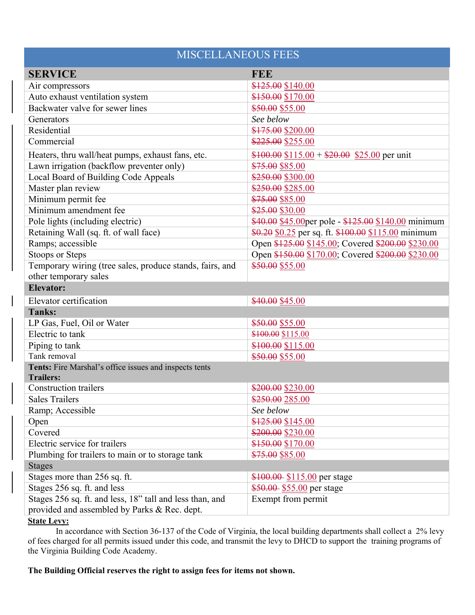| MISCELLANEOUS FEES                                       |                                                      |  |
|----------------------------------------------------------|------------------------------------------------------|--|
| <b>SERVICE</b>                                           | <b>FEE</b>                                           |  |
| Air compressors                                          | \$125.00 \$140.00                                    |  |
| Auto exhaust ventilation system                          | \$150.00 \$170.00                                    |  |
| Backwater valve for sewer lines                          | \$50.00 \$55.00                                      |  |
| Generators                                               | See below                                            |  |
| Residential                                              | \$175.00 \$200.00                                    |  |
| Commercial                                               | \$225.00 \$255.00                                    |  |
| Heaters, thru wall/heat pumps, exhaust fans, etc.        | $$100.00$ \$115.00 + \$20.00 \$25.00 per unit        |  |
| Lawn irrigation (backflow preventer only)                | \$75.00 \$85.00                                      |  |
| Local Board of Building Code Appeals                     | \$250.00 \$300.00                                    |  |
| Master plan review                                       | \$250.00 \$285.00                                    |  |
| Minimum permit fee                                       | \$75.00 \$85.00                                      |  |
| Minimum amendment fee                                    | \$25.00 \$30.00                                      |  |
| Pole lights (including electric)                         | \$40.00 \$45.00 per pole - \$125.00 \$140.00 minimum |  |
| Retaining Wall (sq. ft. of wall face)                    | \$0.20 \$0.25 per sq. ft. \$100.00 \$115.00 minimum  |  |
| Ramps; accessible                                        | Open \$125.00 \$145.00; Covered \$200.00 \$230.00    |  |
| <b>Stoops or Steps</b>                                   | Open \$150.00 \$170.00; Covered \$200.00 \$230.00    |  |
| Temporary wiring (tree sales, produce stands, fairs, and | \$50.00 \$55.00                                      |  |
| other temporary sales                                    |                                                      |  |
| <b>Elevator:</b>                                         |                                                      |  |
| Elevator certification                                   | \$40.00 \$45.00                                      |  |
| <b>Tanks:</b>                                            |                                                      |  |
| LP Gas, Fuel, Oil or Water                               | \$50.00 \$55.00                                      |  |
| Electric to tank                                         | \$100.00 \$115.00                                    |  |
| Piping to tank                                           | \$100.00 \$115.00                                    |  |
| Tank removal                                             | \$50.00 \$55.00                                      |  |
| Tents: Fire Marshal's office issues and inspects tents   |                                                      |  |
| <b>Trailers:</b>                                         |                                                      |  |
| <b>Construction trailers</b>                             | \$200.00 \$230.00                                    |  |
| <b>Sales Trailers</b>                                    | \$250.00 285.00                                      |  |
| Ramp; Accessible                                         | See below                                            |  |
| Open                                                     | \$125.00 \$145.00                                    |  |
| Covered                                                  | \$200.00 \$230.00                                    |  |
| Electric service for trailers                            | \$150.00 \$170.00                                    |  |
| Plumbing for trailers to main or to storage tank         | \$75.00 \$85.00                                      |  |
| <b>Stages</b>                                            |                                                      |  |
| Stages more than 256 sq. ft.                             | $$100.00$ \$115.00 per stage                         |  |
| Stages 256 sq. ft. and less                              | \$50.00 \$55.00 per stage                            |  |
| Stages 256 sq. ft. and less, 18" tall and less than, and | Exempt from permit                                   |  |
| provided and assembled by Parks & Rec. dept.             |                                                      |  |

#### **State Levy:**

In accordance with Section 36-137 of the Code of Virginia, the local building departments shall collect a 2% levy of fees charged for all permits issued under this code, and transmit the levy to DHCD to support the training programs of the Virginia Building Code Academy.

**The Building Official reserves the right to assign fees for items not shown.**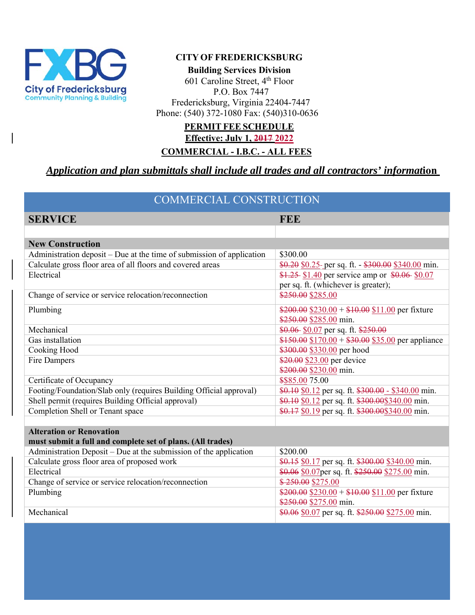

### **CITY OF FREDERICKSBURG**

### **Building Services Division**

601 Caroline Street, 4th Floor P.O. Box 7447 Fredericksburg, Virginia 22404-7447 Phone: (540) 372-1080 Fax: (540)310-0636

# **PERMIT FEE SCHEDULE**

**Effective: July 1, 2017 2022**

**COMMERCIAL - I.B.C. - ALL FEES** 

# *Application and plan submittals shall include all trades and all contractors' informat***ion**

| <b>COMMERCIAL CONSTRUCTION</b>                                        |                                                    |  |
|-----------------------------------------------------------------------|----------------------------------------------------|--|
| <b>SERVICE</b>                                                        | <b>FEE</b>                                         |  |
|                                                                       |                                                    |  |
| <b>New Construction</b>                                               |                                                    |  |
| Administration deposit – Due at the time of submission of application | \$300.00                                           |  |
| Calculate gross floor area of all floors and covered areas            | \$0.20 \$0.25 per sq. ft. - \$300.00 \$340.00 min. |  |
| Electrical                                                            | \$1.25 \$1.40 per service amp or \$0.06 \$0.07     |  |
|                                                                       | per sq. ft. (whichever is greater);                |  |
| Change of service or service relocation/reconnection                  | \$250.00 \$285.00                                  |  |
| Plumbing                                                              | $$200.00 $230.00 + $10.00 $11.00$ per fixture      |  |
|                                                                       | \$250.00 \$285.00 min.                             |  |
| Mechanical                                                            | \$0.06 \$0.07 per sq. ft. \$250.00                 |  |
| Gas installation                                                      | \$150.00 \$170.00 + \$30.00 \$35.00 per appliance  |  |
| Cooking Hood                                                          | \$300.00 \$330.00 per hood                         |  |
| <b>Fire Dampers</b>                                                   | \$20.00 \$23.00 per device                         |  |
|                                                                       | \$200.00 \$230.00 min.                             |  |
| Certificate of Occupancy                                              | \$\$85.00 75.00                                    |  |
| Footing/Foundation/Slab only (requires Building Official approval)    | \$0.10 \$0.12 per sq. ft. \$300.00 - \$340.00 min. |  |
| Shell permit (requires Building Official approval)                    | \$0.10 \$0.12 per sq. ft. \$300.00\$340.00 min.    |  |
| Completion Shell or Tenant space                                      | \$0.17 \$0.19 per sq. ft. \$300.00\$340.00 min.    |  |
|                                                                       |                                                    |  |
| <b>Alteration or Renovation</b>                                       |                                                    |  |
| must submit a full and complete set of plans. (All trades)            |                                                    |  |
| Administration Deposit – Due at the submission of the application     | \$200.00                                           |  |
| Calculate gross floor area of proposed work                           | \$0.15 \$0.17 per sq. ft. \$300.00 \$340.00 min.   |  |
| Electrical                                                            | \$0.06 \$0.07per sq. ft. \$250.00 \$275.00 min.    |  |
| Change of service or service relocation/reconnection                  | \$250.00 \$275.00                                  |  |
| Plumbing                                                              | $$200.00 $230.00 + $10.00 $11.00$ per fixture      |  |
|                                                                       | \$250.00 \$275.00 min.                             |  |
| Mechanical                                                            | \$0.06 \$0.07 per sq. ft. \$250.00 \$275.00 min.   |  |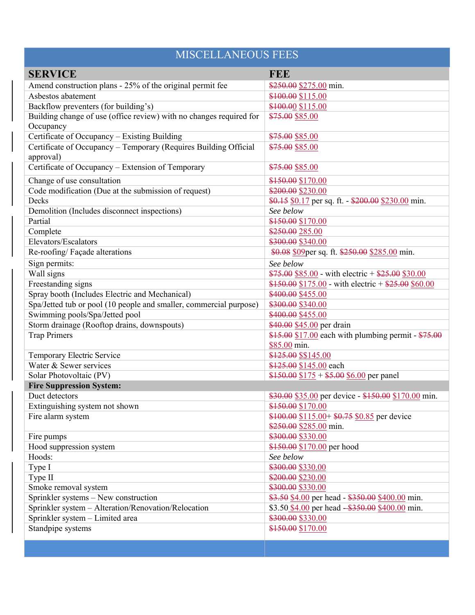| <b>MISCELLANEOUS FEES</b>                                                     |                                                                |  |
|-------------------------------------------------------------------------------|----------------------------------------------------------------|--|
| <b>SERVICE</b>                                                                | <b>FEE</b>                                                     |  |
| Amend construction plans - 25% of the original permit fee                     | \$250.00 \$275.00 min.                                         |  |
| Asbestos abatement                                                            | \$100.00 \$115.00                                              |  |
| Backflow preventers (for building's)                                          | \$100.00 \$115.00                                              |  |
| Building change of use (office review) with no changes required for           | \$75.00 \$85.00                                                |  |
| Occupancy                                                                     |                                                                |  |
| Certificate of Occupancy - Existing Building                                  | \$75.00 \$85.00                                                |  |
| Certificate of Occupancy - Temporary (Requires Building Official<br>approval) | \$75.00 \$85.00                                                |  |
| Certificate of Occupancy - Extension of Temporary                             | \$75.00 \$85.00                                                |  |
| Change of use consultation                                                    | \$150.00 \$170.00                                              |  |
| Code modification (Due at the submission of request)                          | \$200.00 \$230.00                                              |  |
| Decks                                                                         | $$0.15$ \$0.17 per sq. ft. - \$200.00 \$230.00 min.            |  |
| Demolition (Includes disconnect inspections)                                  | See below                                                      |  |
| Partial                                                                       | \$150.00 \$170.00                                              |  |
| Complete                                                                      | \$250.00 285.00                                                |  |
| Elevators/Escalators                                                          | \$300.00 \$340.00                                              |  |
| Re-roofing/Façade alterations                                                 | \$0.08 \$09per sq. ft. \$250.00 \$285.00 min.                  |  |
| Sign permits:                                                                 | See below                                                      |  |
| Wall signs                                                                    | $$75.00 $85.00$ - with electric + \$25.00 \$30.00              |  |
| Freestanding signs                                                            | $$150.00$ $$175.00$ - with electric + \$25.00 \$60.00          |  |
| Spray booth (Includes Electric and Mechanical)                                | \$400.00 \$455.00                                              |  |
| Spa/Jetted tub or pool (10 people and smaller, commercial purpose)            | \$300.00 \$340.00                                              |  |
| Swimming pools/Spa/Jetted pool                                                | \$400.00 \$455.00                                              |  |
| Storm drainage (Rooftop drains, downspouts)                                   | \$40.00 \$45.00 per drain                                      |  |
| <b>Trap Primers</b>                                                           | \$15.00 \$17.00 each with plumbing permit - \$75.00            |  |
|                                                                               | \$85.00 min.                                                   |  |
| Temporary Electric Service                                                    | \$125.00 \$\$145.00                                            |  |
| Water & Sewer services                                                        | \$125.00 \$145.00 each                                         |  |
| Solar Photovoltaic (PV)                                                       | $$150.00 \frac{$175}{125} + $5.00 \frac{$6.00}{125}$ per panel |  |
| <b>Fire Suppression System:</b>                                               |                                                                |  |
| Duct detectors                                                                | \$30.00 \$35.00 per device - \$150.00 \$170.00 min.            |  |
| Extinguishing system not shown                                                | \$150.00 \$170.00                                              |  |
| Fire alarm system                                                             | \$100.00 \$115.00+ \$0.75 \$0.85 per device                    |  |
|                                                                               | \$250.00 \$285.00 min.                                         |  |
| Fire pumps                                                                    | \$300.00 \$330.00                                              |  |
| Hood suppression system                                                       | \$150.00 \$170.00 per hood                                     |  |
| Hoods:                                                                        | See below                                                      |  |
| Type I                                                                        | \$300.00 \$330.00                                              |  |
| Type II                                                                       | \$200.00 \$230.00                                              |  |
| Smoke removal system                                                          | \$300.00 \$330.00                                              |  |
| Sprinkler systems - New construction                                          | \$3.50 \$4.00 per head - \$350.00 \$400.00 min.                |  |
| Sprinkler system - Alteration/Renovation/Relocation                           | \$3.50 \$4.00 per head - \$350.00 \$400.00 min.                |  |
| Sprinkler system - Limited area                                               | \$300.00 \$330.00                                              |  |
| Standpipe systems                                                             | \$150.00 \$170.00                                              |  |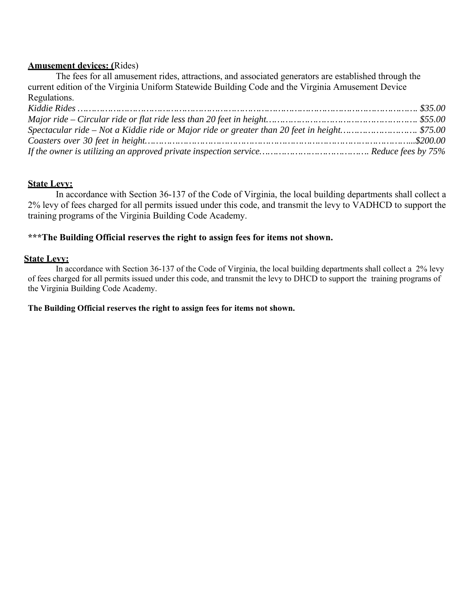### **Amusement devices: (**Rides)

The fees for all amusement rides, attractions, and associated generators are established through the current edition of the Virginia Uniform Statewide Building Code and the Virginia Amusement Device Regulations.

### **State Levy:**

In accordance with Section 36-137 of the Code of Virginia, the local building departments shall collect a 2% levy of fees charged for all permits issued under this code, and transmit the levy to VADHCD to support the training programs of the Virginia Building Code Academy.

### **\*\*\*The Building Official reserves the right to assign fees for items not shown.**

### **State Levy:**

In accordance with Section 36-137 of the Code of Virginia, the local building departments shall collect a 2% levy of fees charged for all permits issued under this code, and transmit the levy to DHCD to support the training programs of the Virginia Building Code Academy.

#### **The Building Official reserves the right to assign fees for items not shown.**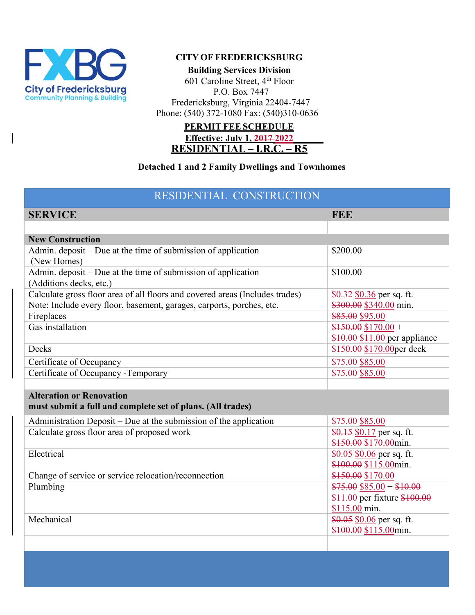

### **CITY OF FREDERICKSBURG**

**Building Services Division**

601 Caroline Street, 4th Floor P.O. Box 7447 Fredericksburg, Virginia 22404-7447 Phone: (540) 372-1080 Fax: (540)310-0636

# **PERMIT FEE SCHEDULE Effective: July 1, 2017 2022**

**RESIDENTIAL – I.R.C. – R5** 

# **Detached 1 and 2 Family Dwellings and Townhomes**

# RESIDENTIAL CONSTRUCTION

| <b>SERVICE</b>                                                               | <b>FEE</b>                      |
|------------------------------------------------------------------------------|---------------------------------|
|                                                                              |                                 |
| <b>New Construction</b>                                                      |                                 |
| Admin. deposit – Due at the time of submission of application                | \$200.00                        |
| (New Homes)                                                                  |                                 |
| Admin. deposit - Due at the time of submission of application                | \$100.00                        |
| (Additions decks, etc.)                                                      |                                 |
| Calculate gross floor area of all floors and covered areas (Includes trades) | $$0.32$ \$0.36 per sq. ft.      |
| Note: Include every floor, basement, garages, carports, porches, etc.        | \$300.00 \$340.00 min.          |
| Fireplaces                                                                   | \$85.00 \$95.00                 |
| Gas installation                                                             | $$150.00$ \$170.00 +            |
|                                                                              | $$10.00$ $$11.00$ per appliance |
| Decks                                                                        | \$150.00 \$170.00 per deck      |
| Certificate of Occupancy                                                     | \$75.00 \$85.00                 |
| Certificate of Occupancy -Temporary                                          | \$75.00 \$85.00                 |
|                                                                              |                                 |
| <b>Alteration or Renovation</b>                                              |                                 |
| must submit a full and complete set of plans. (All trades)                   |                                 |
| Administration Deposit – Due at the submission of the application            | \$75.00 \$85.00                 |
| Calculate gross floor area of proposed work                                  | $$0.15$ \$0.17 per sq. ft.      |
|                                                                              | \$150.00 \$170.00min.           |
| Electrical                                                                   | $$0.05$ \$0.06 per sq. ft.      |
|                                                                              | \$100.00 \$115.00min.           |
| Change of service or service relocation/reconnection                         | \$150.00 \$170.00               |
| Plumbing                                                                     | $$75.00$ \$85.00 + \$10.00      |
|                                                                              | \$11.00 per fixture \$100.00    |
|                                                                              | \$115.00 min.                   |
| Mechanical                                                                   | $$0.05$ \$0.06 per sq. ft.      |
|                                                                              | \$100.00 \$115.00min.           |
|                                                                              |                                 |
|                                                                              |                                 |
|                                                                              |                                 |